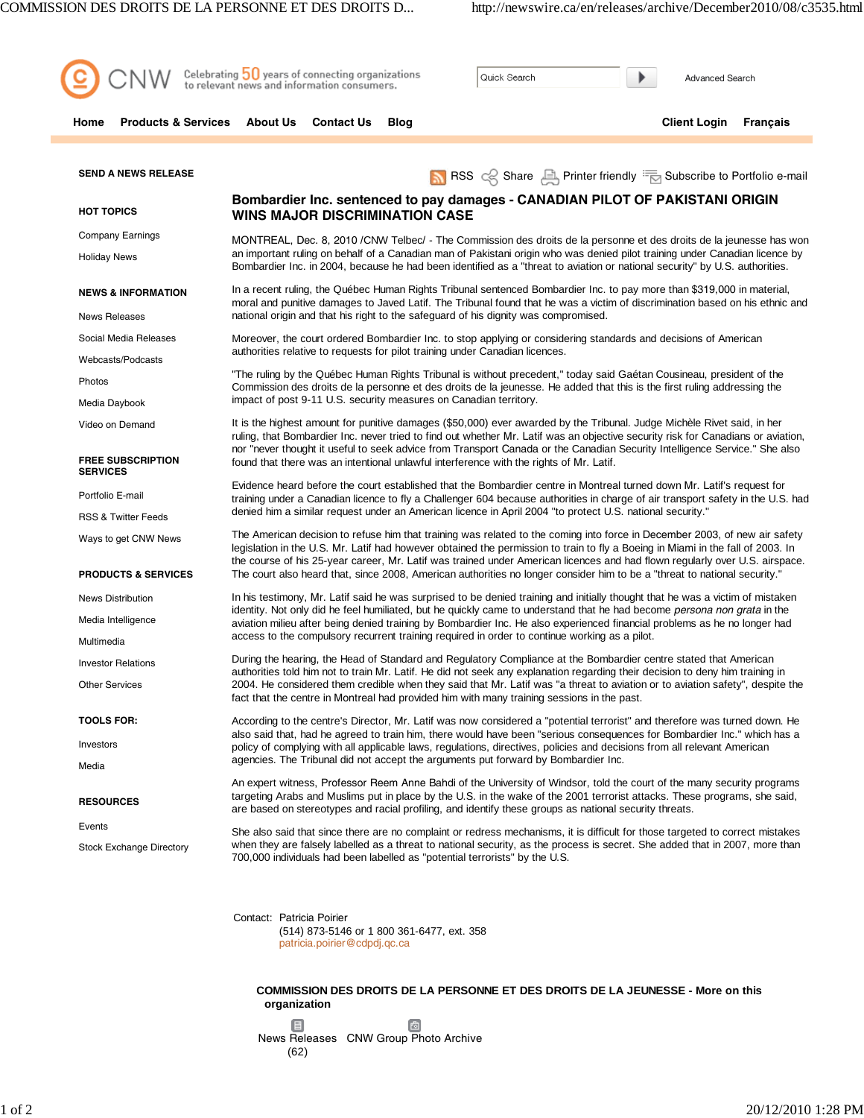

**COMMISSION DES DROITS DE LA PERSONNE ET DES DROITS DE LA JEUNESSE - More on this organization**

目 商 News Releases CNW Group Photo Archive (62)